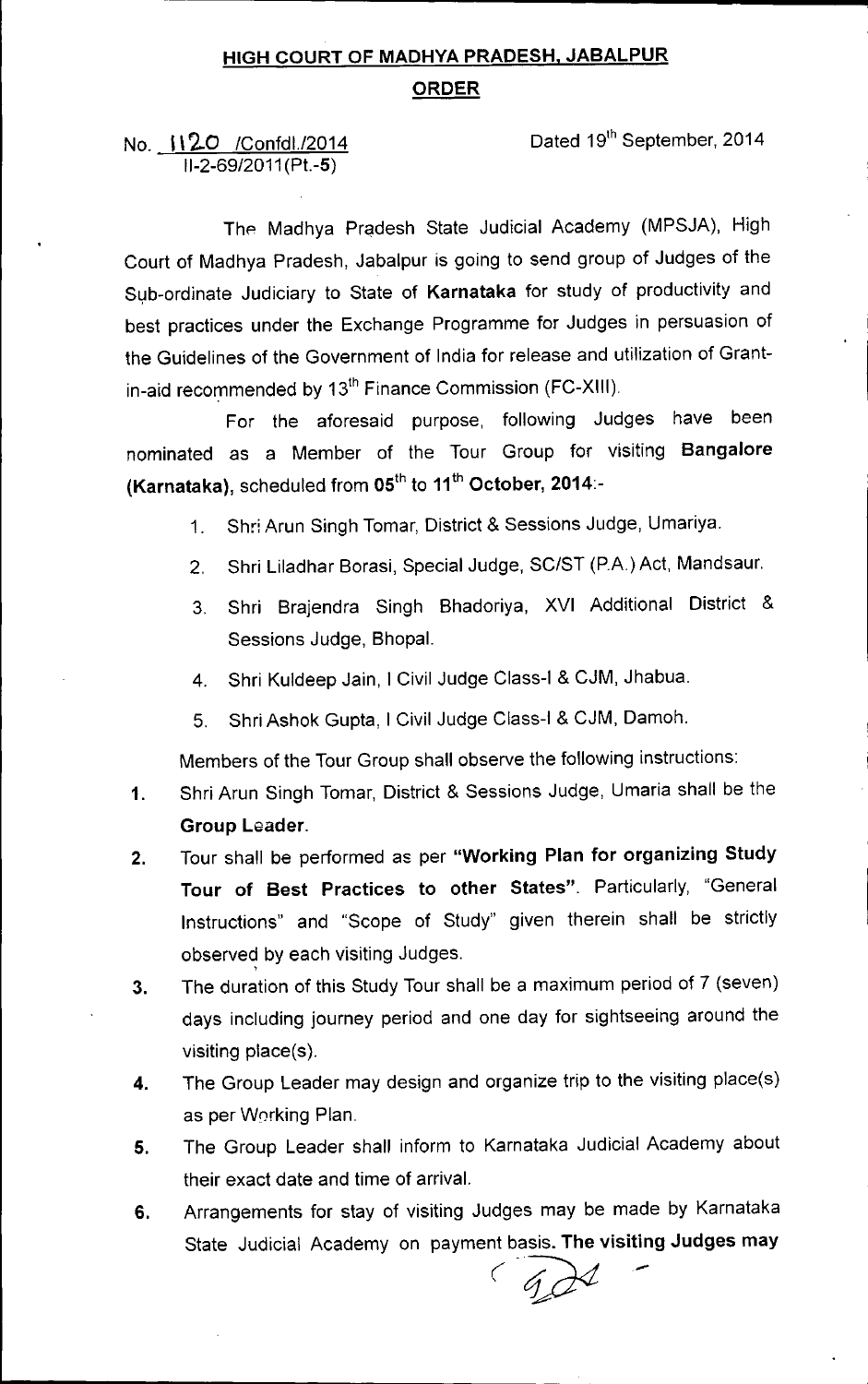# HIGH COURT OF MADHYA PRADESH, JABALPUR ORDER

### No. 1120 / Confd1./2014 11-2-69/2011(Pt.-5)

Dated 19th September, 2014

The Madhya Pradesh State Judicial Academy (MPSJA), High Court of Madhya Pradesh, Jabalpur is going to send group of Judges of the Sub-ordinate Judiciary to State of Karnataka for study of productivity and best practices under the Exchange Programme for Judges in persuasion of the Guidelines of the Government of India for release and utilization of Grantin-aid recommended by 13<sup>th</sup> Finance Commission (FC-XIII).

For the aforesaid purpose, following Judges have been nominated as a Member of the Tour Group for visiting Bangalore (Karnataka), scheduled from 05<sup>th</sup> to 11<sup>th</sup> October, 2014:-

- 1. Shr: Arun Singh Tomar, District & Sessions Judge, Umariya.
- 2. Shri Liladhar Borasi, Special Judge, SC/ST (PA) Act, Mandsaur.
- 3. Shri Brajendra Singh Bhadoriya, XVI Additional District & Sessions Judge, Bhopal.
- 4. Shri Kuldeep Jain, I Civil Judge Class-I & CJM, Jhabua.
- 5. Shri Ashok Gupta, I Civil Judge Class-I & CJM, Damoh.

Members of the Tour Group shall observe the following instructions:

- 1. Shri Arun Singh Tomar, District & Sessions Judge, Umaria shall be the Group Leader.
- 2. Tour shall be performed as per "Working Plan for organizing Study Tour of Best Practices to other States". Particularly, "General Instructions" and "Scope of Study" given therein shall be strictly observed by each visiting Judges
- 3. The duration of this Study Tour shall be a maximum period of 7 (seven) days including journey period and one day for sightseeing around the visiting place(s).
- 4. The Group Leader may design and organize trip to the visiting place(s) as per Working Plan.
- 5. The Group Leader shall inform to Karnataka Judicial Academy about their exact date and time of arrival.
- 6. Arrangements for stay of visiting Judges may be made by Karnataka State Judicial Academy on payment basis. The visiting Judges may *(.1]1<t-*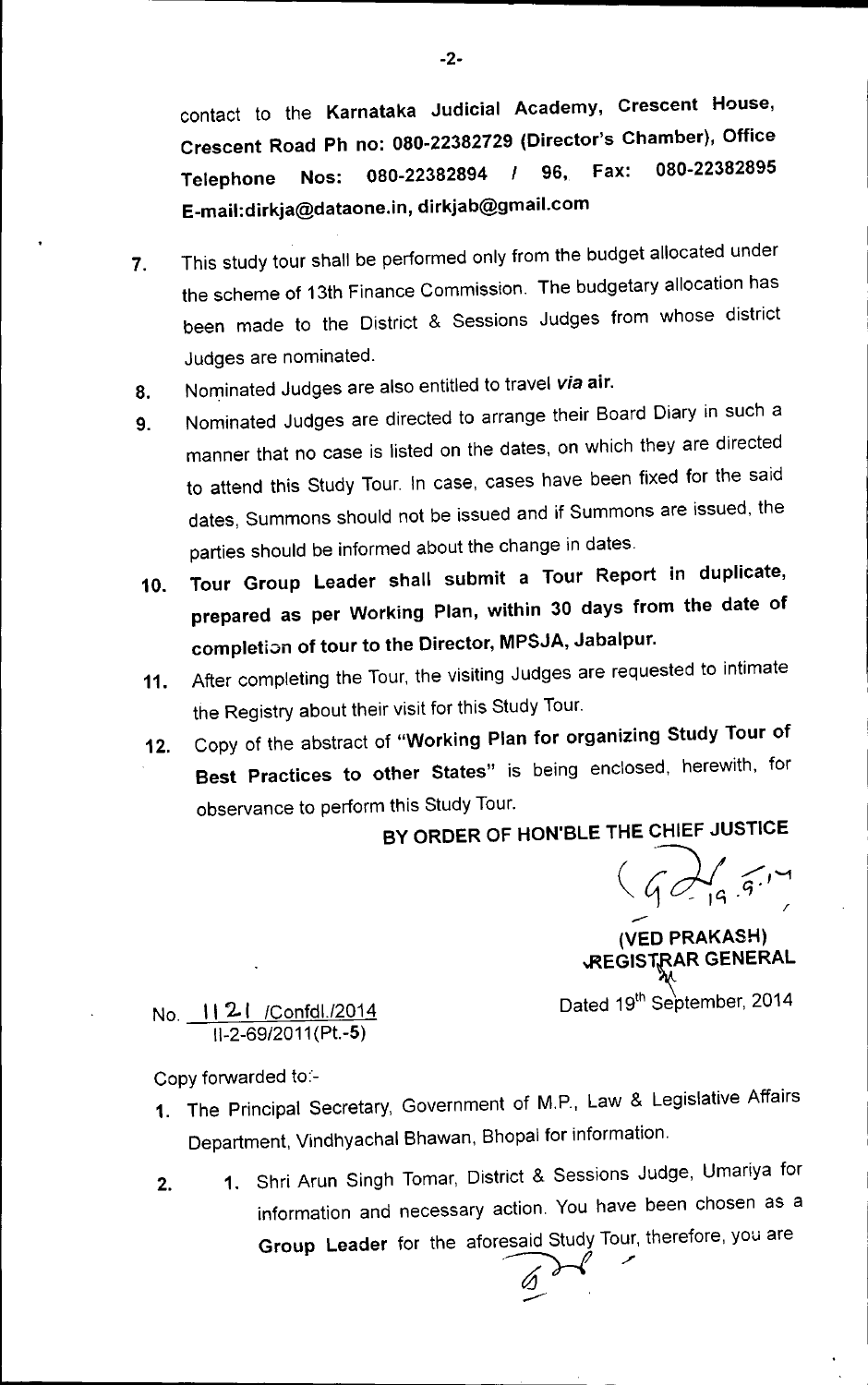contact to the Karnataka Judicial Academy, Crescent House, Crescent Road Ph no: 080-22382729 (Director's Chamber), Office Telephone Nos: 080-22382894 *1* 96, Fax: 080-22382895 [E\\_mail:dirkja@dataone.in.dirkjab@gmail.com](mailto:E_mail:dirkja@dataone.in.dirkjab@gmail.com)

- 7. This study tour shall be performed only from the budget allocated under the scheme of 13th Finance Commission. The budgetary allocation has been made to the District & Sessions Judges from whose district Judges are nominated.
- 8. Nominated Judges are also entitled to travel *via* air.
- 9. Nominated Judges are directed to arrange their Board Diary in such a manner that no case is listed on the dates, on which they are directed to attend this Study Tour. In case, cases have been fixed for the said dates, Summons should not be issued and if Summons are issued, the parties should be informed about the change in dates.
- 10. Tour Group Leader shall submit a Tour Report in duplicate, prepared as per Working Plan, within 30 days from the date of completion of tour to the Director, MPSJA, Jabalpur.
- 11. After completing the Tour, the visiting Judges are requested to intimate the Registry about their visit for this Study Tour.
- 12. Copy of the abstract of "Working Plan for organizing Study Tour of Best Practices to other States" is being enclosed, herewith, for observance to perform this Study Tour.

# BY ORDER OF HON'BLE THE CHIEF JUSTICE

 $(6)$ /

(VED PRAKASH) **JREGISTRAR GENERAL** Dated 19<sup>th</sup> September, 2014

No. 1121 / Confdl./2014 *11-2-69/2011* (Pt.-5)

Copy forwarded to:-

- 1. The Principal Secretary, Government of M.P., Law & Legislative Affairs Department, Vindhyachal Bhawan, Bhopal for information.
- 2. 1. Shri Arun Singh Tomar, District & Sessions Judge, Umariya for information and necessary action. You have been chosen as a Group Leader for the aforesaid Study Tour, therefore, you are

 $\varnothing$ ---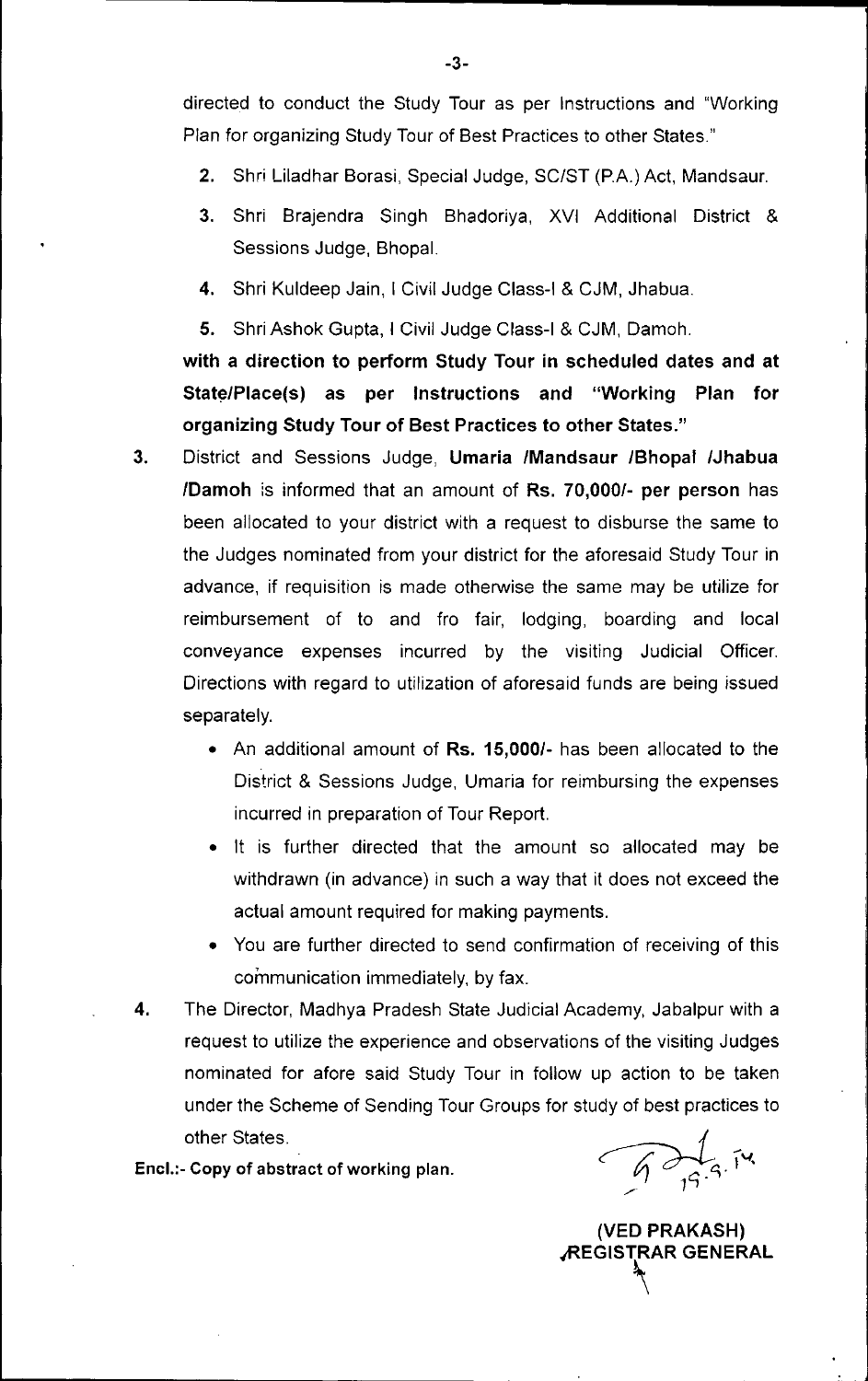directed to conduct the Study Tour as per Instructions and "Working Plan for organizing Study Tour of Best Practices to other States."

- 2. Shri Liladhar Borasi, Special Judge, SC/ST (PA) Act, Mandsaur.
- 3. Shri Brajendra Singh Bhadoriya, XVI Additional District & Sessions Judge, Bhopal.
- 4. Shri Kuldeep Jain, I Civil Judge Class-I & CJM, Jhabua.
- 5. Shri Ashok Gupta, I Civil Judge Class-I & CJM, Damoh.

with a direction to perform Study Tour in scheduled dates and at State/Place(s) as per Instructions and "Working Plan for organizing Study Tour of Best Practices to other States."

- 3. District and Sessions Judge, Umaria /Mandsaur /Bhopal /Jhabua *IDamoh* is informed that an amount of Rs. 70,000/- per person has been allocated to your district with a request to disburse the same to the Judges nominated from your district for the aforesaid Study Tour in advance, if requisition is made otherwise the same may be utilize for reimbursement of to and fro fair, lodging, boarding and local conveyance expenses incurred by the visiting Judicial Officer. Directions with regard to utilization of aforesaid funds are being issued separately.
	- An additional amount of Rs. 15,000/- has been allocated to the District & Sessions Judge, Umaria for reimbursing the expenses incurred in preparation of Tour Report.
	- It is further directed that the amount so allocated may be withdrawn (in advance) in such a way that it does not exceed the actual amount required for making payments.
	- You are further directed to send confirmation of receiving of this communication immediately, by fax.
- 4. The Director, Madhya Pradesh State Judicial Academy, Jabalpur with a request to utilize the experience and observations of the visiting Judges nominated for afore said Study Tour in follow up action to be taken under the Scheme of Sending Tour Groups for study of best practices to other States.

Encl.:- Copy of abstract of working plan.

 $\sqrt{47.5}$ 

(VED PRAKASH) **REGISTRAR GENERAL**<br>T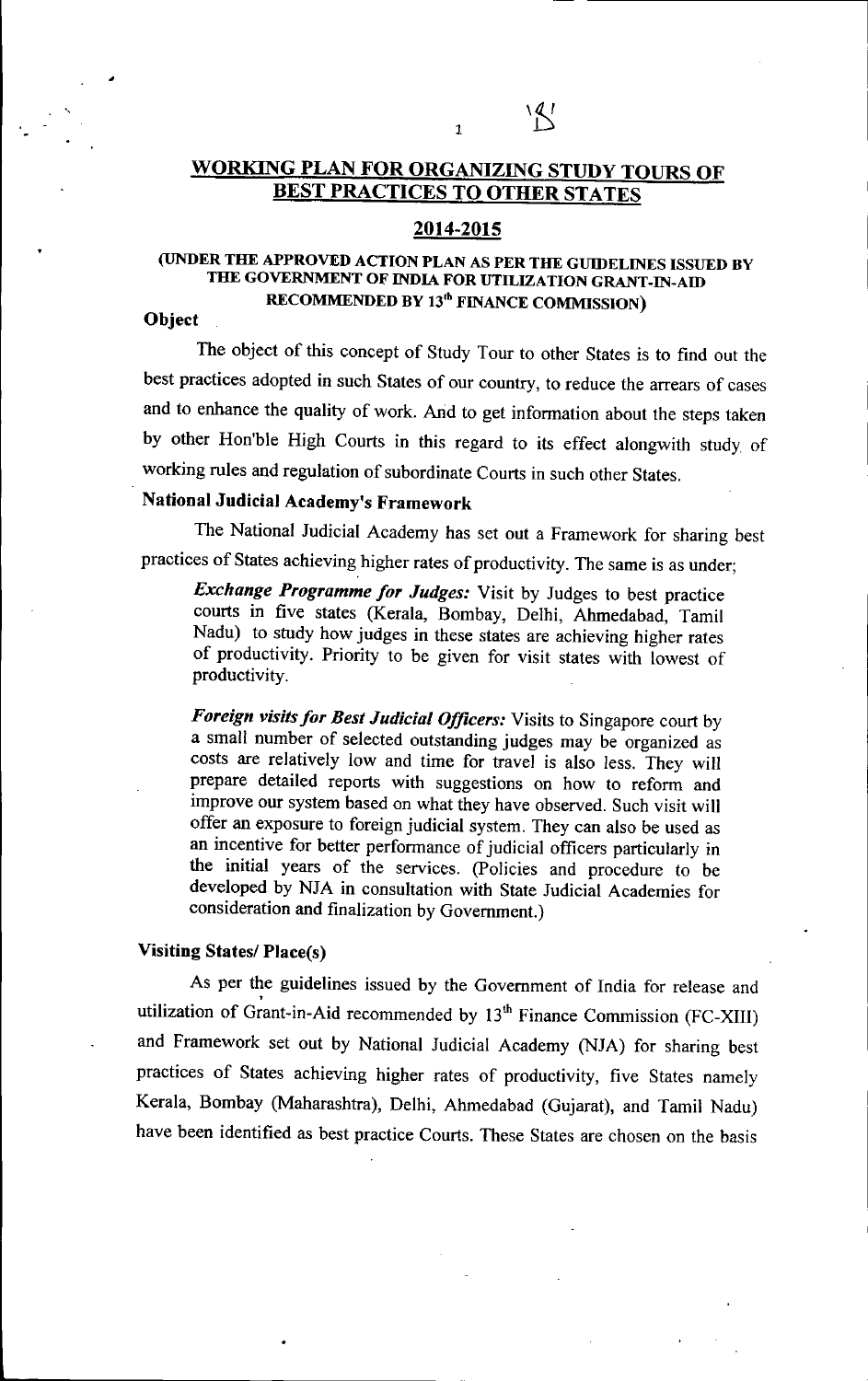# WORKING PLAN FOR ORGANIZING STUDY TOURS OF BEST PRACTICES TO OTHER STATES

1

 $\mathbb{Z}^1$ 

### 2014-2015

## (UNDER THE APPROVED ACTION PLAN AS PER THE GUIDELINES ISSUED BY THE GOVERNMENT OF INDIA FOR UTILIZATION GRANT-IN-AID RECOMMENDED BY 13<sup>th</sup> FINANCE COMMISSION)

### **Object**

"

The object of this concept of Study Tour to other States is to find out the best practices adopted in such States of our country, to reduce the arrears of cases and to enhance the quality of work. Arid to get information about the steps taken by other Hon'ble High Courts in this regard to its effect alongwith study of working rules and regulation of subordinate Courts in such other States.

# National Judicial Academy's Framework

The National Judicial Academy has set out a Framework for sharing best practices of States achieving higher rates of productivity. The same is as under;

*Exchange Programme for Judges:* Visit by Judges to best practice courts in five states (Kerala, Bombay, Delhi, Ahmedabad, Tamil Nadu) to study how judges in these states are achieving higher rates of productivity. Priority to be given for visit states with lowest of productivity.

Foreign visits for Best Judicial Officers: Visits to Singapore court by a small number of selected outstanding judges may be organized as costs are relatively low and time for travel is also less. They will prepare detailed reports with suggestions on how to reform and improve our system based on what they have observed. Such visit will offer an exposure to foreign judicial system. They can also be used as an incentive for better performance of judicial officers particularly in the initial years of the services. (policies and procedure to be developed by NJA in consultation with State Judicial Academies for consideration and finalization by Government.)

#### Visiting States/ Place(s)

As per the guidelines issued by the Government of India for release and utilization of Grant-in-Aid recommended by 13<sup>th</sup> Finance Commission (FC-XIII) and Framework set out by National Judicial Academy (NJA) for sharing best practices of States achieving higher rates of productivity, five States namely Kerala, Bombay (Maharashtra), Delhi, Ahmedabad (Gujarat), and Tamil Nadu) have been identified as best practice Courts. These States are chosen on the basis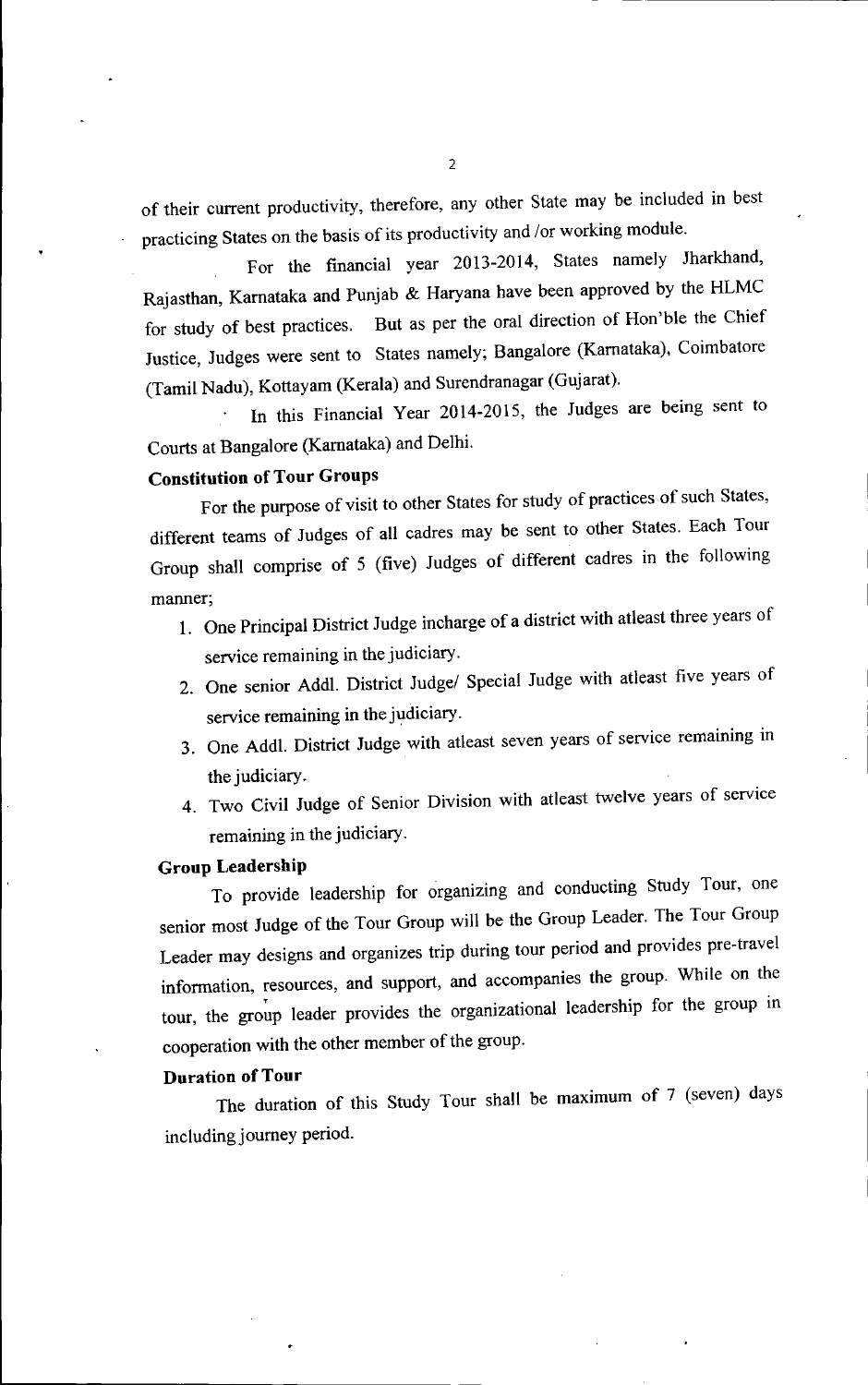of their current productivity, therefore, any other State may be included in best practicing States on the basis of its productivity and *lor* working module.

For the financial year 2013-2014, States namely Jharkhand, Rajasthan, Kamataka and Punjab & Haryana have been approved by the HLMC for study of best practices. But as per the oral direction of Hon'ble the Chief Justice, Judges were sent to States namely; Bangalore (Kamataka), Coimbatore (Tamil Nadu), Kottayam (Kerala) and Surendranagar (Gujarat).

In this Financial Year 2014-2015, the Judges are being sent to Courts at Bangalore (Kamataka) and Delhi.

# **Constitution of Tour Groups**

For the purpose of visit to other States for study of practices of such States, different teams of Judges of all cadres may be sent to other States. Each Tour Group shall comprise of 5 (five) Judges of different cadres in the following manner;

- 1. One Principal District Judge incharge of a district with atleast three years of service remaining in the judiciary.
- 2. One senior Addl. District Judge/ Special Judge with atleast five years of service remaining in the judiciary.
- 3. One Addl. District Judge with atleast seven years of service remaining in the judiciary.
- 4. Two Civil Judge of Senior Division with atleast twelve years of service remaining in the judiciary.

#### **Group Leadership**

To provide leadership for organizing and conducting Study Tour, one senior most Judge of the Tour Group will be the Group Leader. The Tour Group Leader may designs and organizes trip during tour period and provides pre-travel information, resources, and support, and accompanies the group. While on the tour, the group leader provides the organizational leadership for the group in cooperation with the other member of the group.

#### **Duration of Tour**

•

The duration of this Study Tour shall be maximum of 7 (seven) days including journey period.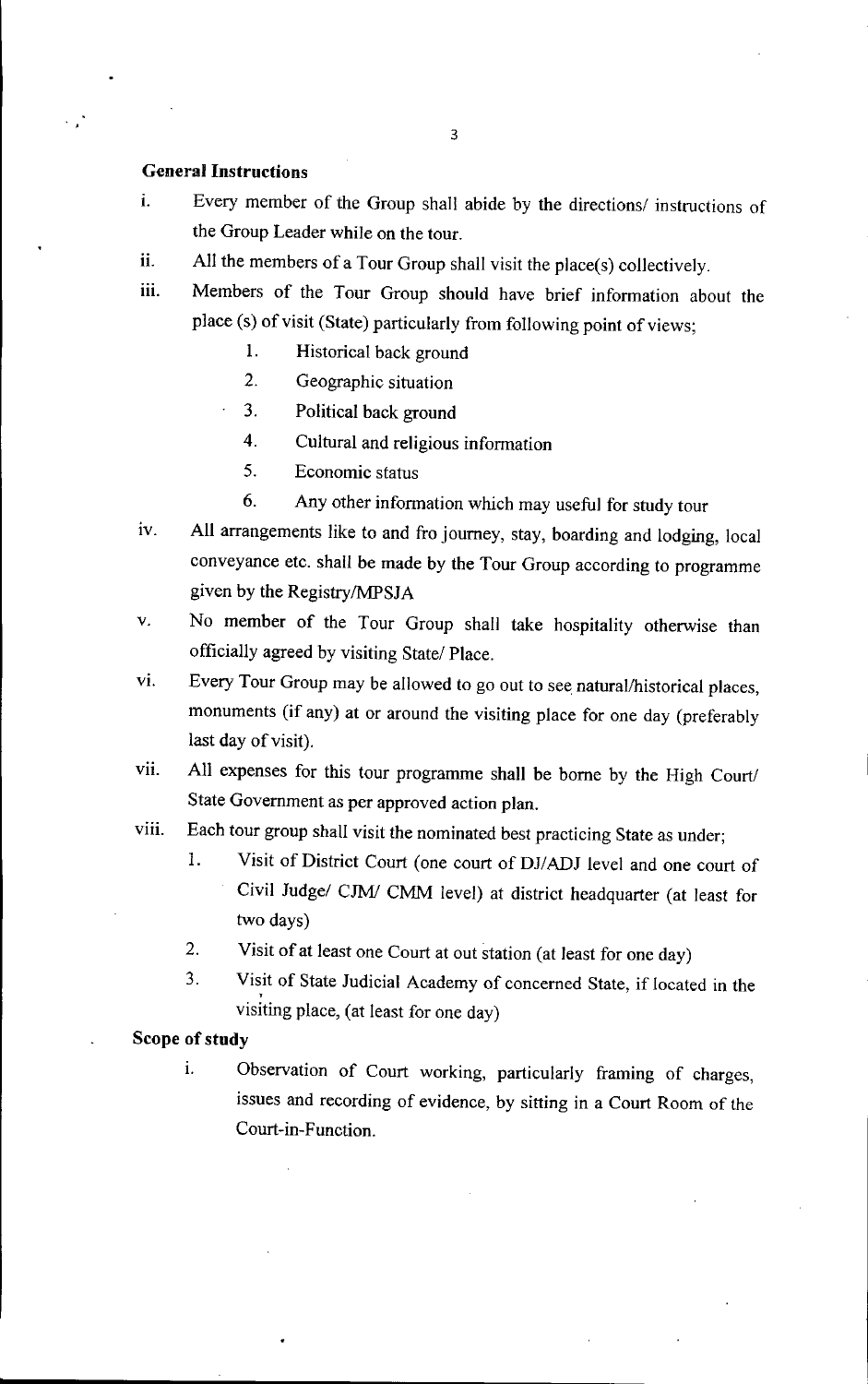#### **General Instructions**

- i. Every member of the Group shall abide by the directions/ instructions of the Group Leader while on the tour.
- ii. All the members of a Tour Group shall visit the place(s) collectively.
- iii. Members of the Tour Group should have brief information about the place (s) of visit (State) particularly from following point of views;
	- 1. Historical back ground
	- 2. Geographic situation
	- 3. Political back ground
	- 4. Cultural and religious information
	- 5. Economic status
	- 6. Any other information which may useful for study tour
- iv. All arrangements like to and fro journey, stay, boarding and lodging, local conveyance etc. shall be made by the Tour Group according to programme given by the Registry/MPSJA
- v. No member of the Tour Group shall take hospitality otherwise than officially agreed by visiting State/ Place.
- VI. Every Tour Group may be allowed to go out to see natural/historical places, monuments (if any) at or around the visiting place for one day (preferably last day of visit).
- vii. All expenses for this tour programme shall be borne by the High Court/ State Government as per approved action plan.
- viii. Each tour group shall visit the nominated best practicing State as under;
	- 1. Visit of District Court (one court of DJ/ADJ level and one court of Civil Judge/ *CJMI* CMM level) at district headquarter (at least for two days)
	- 2. Visit of at least one Court at out station (at least for one day)
	- 3. Visit of State Judicial Academy of concerned State, if located in the , visiting place, (at least for one day)

## **Scope of study**

i. Observation of Court working, particularly framing of charges, issues and recording of evidence, by sitting in a Court Room of the Court-in-Function.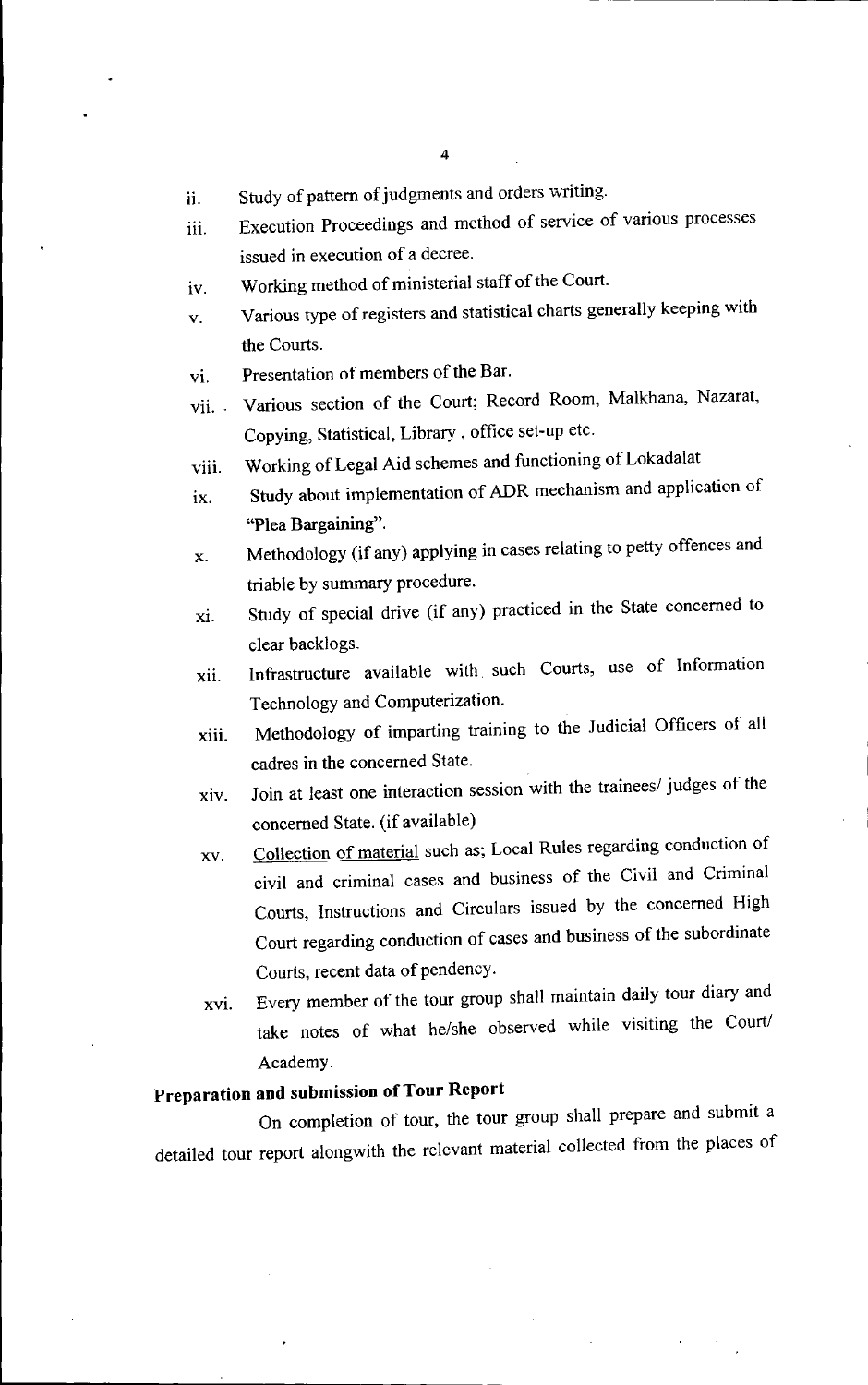- ii. Study of pattern of judgments and orders writing.
- iii. Execution Proceedings and method of service of various processes issued in execution of a decree.
- iv. Working method of ministerial staff of the Court.
- v. Various type of registers and statistical charts generally keeping with the Courts.
- VI. Presentation of members of the Bar.
- vii. Various section of the Court; Record Room, Malkhana, Nazarat, Copying, Statistical, Library, office set-up etc.
- viii. Working of Legal Aid schemes and functioning of Lokadalat
- ix. Study about implementation of ADR mechanism and application of "Plea Bargaining".
- x. Methodology (if any) applying in cases relating to petty offences and triable by summary procedure.
- xi. Study of special drive (if any) practiced in the State concerned to clear backlogs.
- xii. Infrastructure available with such Courts, use of Information Technology and Computerization.
- xiii. Methodology of imparting training to the 1udicial Officers of all cadres in the concerned State.
- xiv. loin at least one interaction session with the trainees/ judges of the concerned State. (if available)
- xv. Collection of material such as; Local Rules regarding conduction of civil and criminal cases and business of the Civil and Criminal Courts, Instructions and Circulars issued by the concerned High Court regarding conduction of cases and business of the subordinate Courts, recent data of pendency.
- XVI. Every member of the tour group shall maintain daily tour diary and take notes of what he/she observed while visiting the Court/ Academy.

# **Preparation and submission** of Tour **Report**

On completion of tour, the tour group shall prepare and submit a detailed tour report alongwith the relevant material collected from the places of